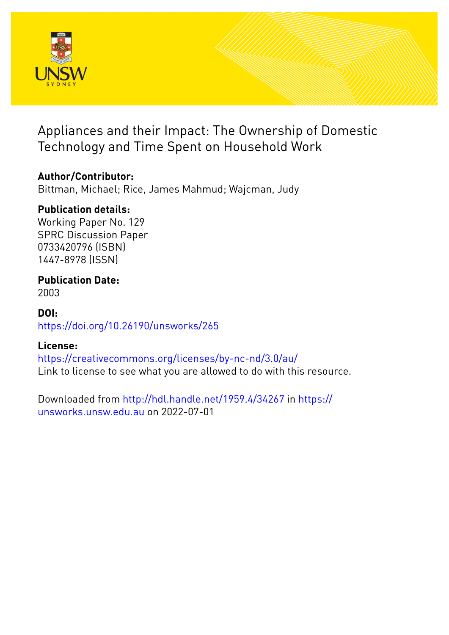

# Appliances and their Impact: The Ownership of Domestic Technology and Time Spent on Household Work

# **Author/Contributor:**

Bittman, Michael; Rice, James Mahmud; Wajcman, Judy

## **Publication details:**

Working Paper No. 129 SPRC Discussion Paper 0733420796 (ISBN) 1447-8978 (ISSN)

# **Publication Date:**

2003

# **DOI:** [https://doi.org/10.26190/unsworks/265](http://dx.doi.org/https://doi.org/10.26190/unsworks/265)

# **License:**

<https://creativecommons.org/licenses/by-nc-nd/3.0/au/> Link to license to see what you are allowed to do with this resource.

Downloaded from <http://hdl.handle.net/1959.4/34267> in [https://](https://unsworks.unsw.edu.au) [unsworks.unsw.edu.au](https://unsworks.unsw.edu.au) on 2022-07-01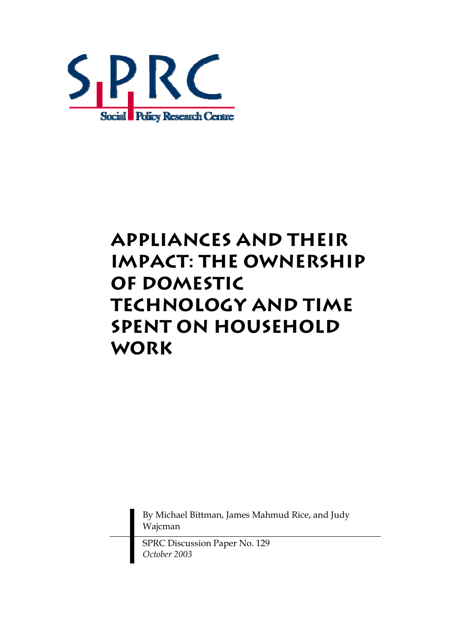

# **Appliances and their Impact: The Ownership of Domestic Technology and Time Spent on Household Work**

By Michael Bittman, James Mahmud Rice, and Judy Wajcman

SPRC Discussion Paper No. 129 *October 2003*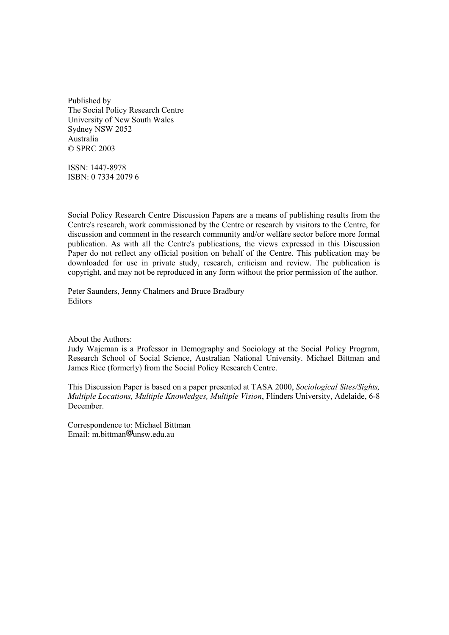Published by The Social Policy Research Centre University of New South Wales Sydney NSW 2052 Australia © SPRC 2003

ISSN: 1447-8978 ISBN: 0 7334 2079 6

Social Policy Research Centre Discussion Papers are a means of publishing results from the Centre's research, work commissioned by the Centre or research by visitors to the Centre, for discussion and comment in the research community and/or welfare sector before more formal publication. As with all the Centre's publications, the views expressed in this Discussion Paper do not reflect any official position on behalf of the Centre. This publication may be downloaded for use in private study, research, criticism and review. The publication is copyright, and may not be reproduced in any form without the prior permission of the author.

Peter Saunders, Jenny Chalmers and Bruce Bradbury **Editors** 

About the Authors:

Judy Wajcman is a Professor in Demography and Sociology at the Social Policy Program, Research School of Social Science, Australian National University. Michael Bittman and James Rice (formerly) from the Social Policy Research Centre.

This Discussion Paper is based on a paper presented at TASA 2000, *Sociological Sites/Sights, Multiple Locations, Multiple Knowledges, Multiple Vision*, Flinders University, Adelaide, 6-8 December.

Correspondence to: Michael Bittman  $E$ mail: m.bittman unsw.edu.au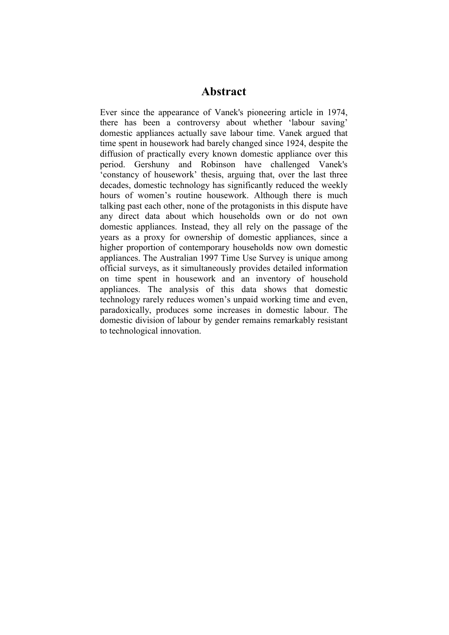## **Abstract**

Ever since the appearance of Vanek's pioneering article in 1974, there has been a controversy about whether 'labour saving' domestic appliances actually save labour time. Vanek argued that time spent in housework had barely changed since 1924, despite the diffusion of practically every known domestic appliance over this period. Gershuny and Robinson have challenged Vanek's 'constancy of housework' thesis, arguing that, over the last three decades, domestic technology has significantly reduced the weekly hours of women's routine housework. Although there is much talking past each other, none of the protagonists in this dispute have any direct data about which households own or do not own domestic appliances. Instead, they all rely on the passage of the years as a proxy for ownership of domestic appliances, since a higher proportion of contemporary households now own domestic appliances. The Australian 1997 Time Use Survey is unique among official surveys, as it simultaneously provides detailed information on time spent in housework and an inventory of household appliances. The analysis of this data shows that domestic technology rarely reduces women's unpaid working time and even, paradoxically, produces some increases in domestic labour. The domestic division of labour by gender remains remarkably resistant to technological innovation.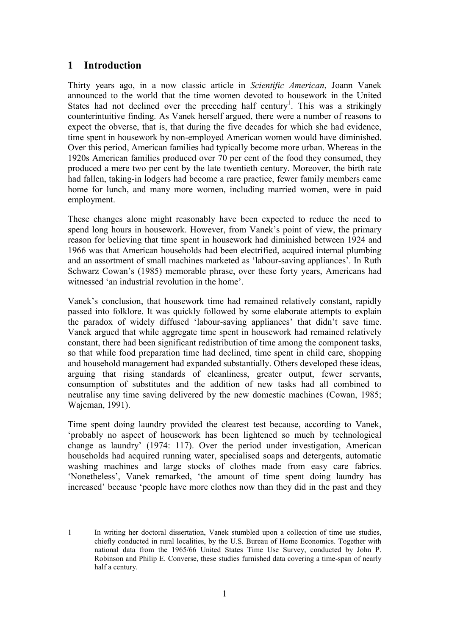## **1 Introduction**

 $\overline{a}$ 

Thirty years ago, in a now classic article in *Scientific American*, Joann Vanek announced to the world that the time women devoted to housework in the United States had not declined over the preceding half century<sup>1</sup>. This was a strikingly counterintuitive finding. As Vanek herself argued, there were a number of reasons to expect the obverse, that is, that during the five decades for which she had evidence, time spent in housework by non-employed American women would have diminished. Over this period, American families had typically become more urban. Whereas in the 1920s American families produced over 70 per cent of the food they consumed, they produced a mere two per cent by the late twentieth century. Moreover, the birth rate had fallen, taking-in lodgers had become a rare practice, fewer family members came home for lunch, and many more women, including married women, were in paid employment.

These changes alone might reasonably have been expected to reduce the need to spend long hours in housework. However, from Vanek's point of view, the primary reason for believing that time spent in housework had diminished between 1924 and 1966 was that American households had been electrified, acquired internal plumbing and an assortment of small machines marketed as 'labour-saving appliances'. In Ruth Schwarz Cowan's (1985) memorable phrase, over these forty years, Americans had witnessed 'an industrial revolution in the home'.

Vanek's conclusion, that housework time had remained relatively constant, rapidly passed into folklore. It was quickly followed by some elaborate attempts to explain the paradox of widely diffused 'labour-saving appliances' that didn't save time. Vanek argued that while aggregate time spent in housework had remained relatively constant, there had been significant redistribution of time among the component tasks, so that while food preparation time had declined, time spent in child care, shopping and household management had expanded substantially. Others developed these ideas, arguing that rising standards of cleanliness, greater output, fewer servants, consumption of substitutes and the addition of new tasks had all combined to neutralise any time saving delivered by the new domestic machines (Cowan, 1985; Wajcman, 1991).

Time spent doing laundry provided the clearest test because, according to Vanek, ëprobably no aspect of housework has been lightened so much by technological change as laundry' (1974: 117). Over the period under investigation, American households had acquired running water, specialised soaps and detergents, automatic washing machines and large stocks of clothes made from easy care fabrics. ëNonethelessí, Vanek remarked, ëthe amount of time spent doing laundry has increased' because 'people have more clothes now than they did in the past and they

<sup>1</sup> In writing her doctoral dissertation, Vanek stumbled upon a collection of time use studies, chiefly conducted in rural localities, by the U.S. Bureau of Home Economics. Together with national data from the 1965/66 United States Time Use Survey, conducted by John P. Robinson and Philip E. Converse, these studies furnished data covering a time-span of nearly half a century.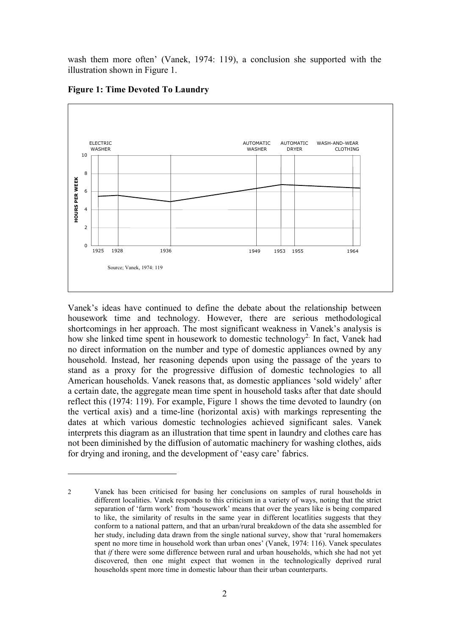wash them more often' (Vanek, 1974: 119), a conclusion she supported with the illustration shown in Figure 1.



**Figure 1: Time Devoted To Laundry** 

 $\overline{a}$ 

Vanek's ideas have continued to define the debate about the relationship between housework time and technology. However, there are serious methodological shortcomings in her approach. The most significant weakness in Vanek's analysis is how she linked time spent in housework to domestic technology<sup>2.</sup> In fact, Vanek had no direct information on the number and type of domestic appliances owned by any household. Instead, her reasoning depends upon using the passage of the years to stand as a proxy for the progressive diffusion of domestic technologies to all American households. Vanek reasons that, as domestic appliances 'sold widely' after a certain date, the aggregate mean time spent in household tasks after that date should reflect this (1974: 119). For example, Figure 1 shows the time devoted to laundry (on the vertical axis) and a time-line (horizontal axis) with markings representing the dates at which various domestic technologies achieved significant sales. Vanek interprets this diagram as an illustration that time spent in laundry and clothes care has not been diminished by the diffusion of automatic machinery for washing clothes, aids for drying and ironing, and the development of 'easy care' fabrics.

<sup>2</sup> Vanek has been criticised for basing her conclusions on samples of rural households in different localities. Vanek responds to this criticism in a variety of ways, noting that the strict separation of 'farm work' from 'housework' means that over the years like is being compared to like, the similarity of results in the same year in different locatlities suggests that they conform to a national pattern, and that an urban/rural breakdown of the data she assembled for her study, including data drawn from the single national survey, show that 'rural homemakers' spent no more time in household work than urban ones' (Vanek, 1974: 116). Vanek speculates that *if* there were some difference between rural and urban households, which she had not yet discovered, then one might expect that women in the technologically deprived rural households spent more time in domestic labour than their urban counterparts.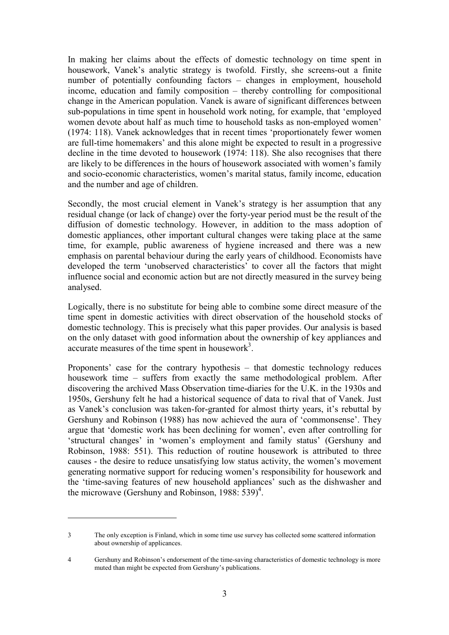In making her claims about the effects of domestic technology on time spent in housework, Vanek's analytic strategy is twofold. Firstly, she screens-out a finite number of potentially confounding factors – changes in employment, household income, education and family composition  $-$  thereby controlling for compositional change in the American population. Vanek is aware of significant differences between sub-populations in time spent in household work noting, for example, that 'employed women devote about half as much time to household tasks as non-employed women<sup>2</sup> (1974: 118). Vanek acknowledges that in recent times ëproportionately fewer women are full-time homemakers' and this alone might be expected to result in a progressive decline in the time devoted to housework (1974: 118). She also recognises that there are likely to be differences in the hours of housework associated with women's family and socio-economic characteristics, women's marital status, family income, education and the number and age of children.

Secondly, the most crucial element in Vanek's strategy is her assumption that any residual change (or lack of change) over the forty-year period must be the result of the diffusion of domestic technology. However, in addition to the mass adoption of domestic appliances, other important cultural changes were taking place at the same time, for example, public awareness of hygiene increased and there was a new emphasis on parental behaviour during the early years of childhood. Economists have developed the term 'unobserved characteristics' to cover all the factors that might influence social and economic action but are not directly measured in the survey being analysed.

Logically, there is no substitute for being able to combine some direct measure of the time spent in domestic activities with direct observation of the household stocks of domestic technology. This is precisely what this paper provides. Our analysis is based on the only dataset with good information about the ownership of key appliances and accurate measures of the time spent in housework<sup>3</sup>.

Proponents' case for the contrary hypothesis  $-$  that domestic technology reduces housework time  $-$  suffers from exactly the same methodological problem. After discovering the archived Mass Observation time-diaries for the U.K. in the 1930s and 1950s, Gershuny felt he had a historical sequence of data to rival that of Vanek. Just as Vanek's conclusion was taken-for-granted for almost thirty years, it's rebuttal by Gershuny and Robinson (1988) has now achieved the aura of 'commonsense'. They argue that 'domestic work has been declining for women', even after controlling for 'structural changes' in 'women's employment and family status' (Gershuny and Robinson, 1988: 551). This reduction of routine housework is attributed to three causes - the desire to reduce unsatisfying low status activity, the women's movement generating normative support for reducing womenís responsibility for housework and the 'time-saving features of new household appliances' such as the dishwasher and the microwave (Gershuny and Robinson, 1988: 539)<sup>4</sup>.

 $\overline{a}$ 

<sup>3</sup> The only exception is Finland, which in some time use survey has collected some scattered information about ownership of applicances.

<sup>4</sup> Gershuny and Robinsonís endorsement of the time-saving characteristics of domestic technology is more muted than might be expected from Gershuny's publications.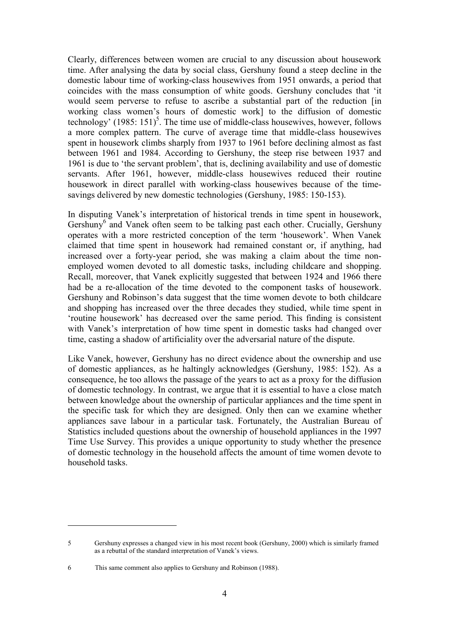Clearly, differences between women are crucial to any discussion about housework time. After analysing the data by social class, Gershuny found a steep decline in the domestic labour time of working-class housewives from 1951 onwards, a period that coincides with the mass consumption of white goods. Gershuny concludes that 'it would seem perverse to refuse to ascribe a substantial part of the reduction [in working class women's hours of domestic work] to the diffusion of domestic technology' (1985: 151)<sup>5</sup>. The time use of middle-class housewives, however, follows a more complex pattern. The curve of average time that middle-class housewives spent in housework climbs sharply from 1937 to 1961 before declining almost as fast between 1961 and 1984. According to Gershuny, the steep rise between 1937 and 1961 is due to 'the servant problem', that is, declining availability and use of domestic servants. After 1961, however, middle-class housewives reduced their routine housework in direct parallel with working-class housewives because of the timesavings delivered by new domestic technologies (Gershuny, 1985: 150-153).

In disputing Vanek's interpretation of historical trends in time spent in housework, Gershuny<sup>6</sup> and Vanek often seem to be talking past each other. Crucially, Gershuny operates with a more restricted conception of the term 'housework'. When Vanek claimed that time spent in housework had remained constant or, if anything, had increased over a forty-year period, she was making a claim about the time nonemployed women devoted to all domestic tasks, including childcare and shopping. Recall, moreover, that Vanek explicitly suggested that between 1924 and 1966 there had be a re-allocation of the time devoted to the component tasks of housework. Gershuny and Robinson's data suggest that the time women devote to both childcare and shopping has increased over the three decades they studied, while time spent in 'routine housework' has decreased over the same period. This finding is consistent with Vanek's interpretation of how time spent in domestic tasks had changed over time, casting a shadow of artificiality over the adversarial nature of the dispute.

Like Vanek, however, Gershuny has no direct evidence about the ownership and use of domestic appliances, as he haltingly acknowledges (Gershuny, 1985: 152). As a consequence, he too allows the passage of the years to act as a proxy for the diffusion of domestic technology. In contrast, we argue that it is essential to have a close match between knowledge about the ownership of particular appliances and the time spent in the specific task for which they are designed. Only then can we examine whether appliances save labour in a particular task. Fortunately, the Australian Bureau of Statistics included questions about the ownership of household appliances in the 1997 Time Use Survey. This provides a unique opportunity to study whether the presence of domestic technology in the household affects the amount of time women devote to household tasks.

 $\overline{a}$ 

<sup>5</sup> Gershuny expresses a changed view in his most recent book (Gershuny, 2000) which is similarly framed as a rebuttal of the standard interpretation of Vanek's views.

<sup>6</sup> This same comment also applies to Gershuny and Robinson (1988).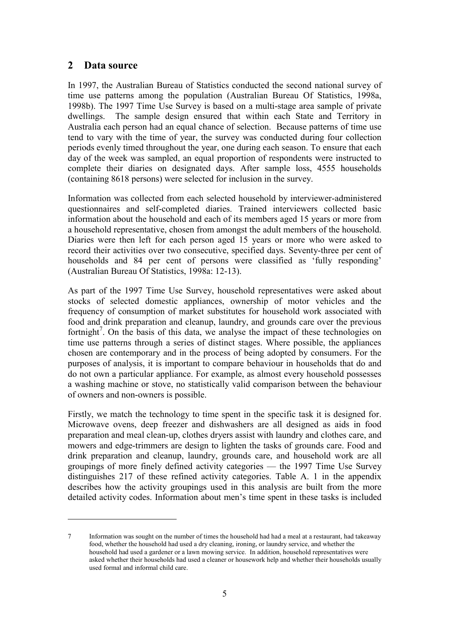## **2 Data source**

 $\overline{a}$ 

In 1997, the Australian Bureau of Statistics conducted the second national survey of time use patterns among the population (Australian Bureau Of Statistics, 1998a, 1998b). The 1997 Time Use Survey is based on a multi-stage area sample of private dwellings. The sample design ensured that within each State and Territory in Australia each person had an equal chance of selection. Because patterns of time use tend to vary with the time of year, the survey was conducted during four collection periods evenly timed throughout the year, one during each season. To ensure that each day of the week was sampled, an equal proportion of respondents were instructed to complete their diaries on designated days. After sample loss, 4555 households (containing 8618 persons) were selected for inclusion in the survey.

Information was collected from each selected household by interviewer-administered questionnaires and self-completed diaries. Trained interviewers collected basic information about the household and each of its members aged 15 years or more from a household representative, chosen from amongst the adult members of the household. Diaries were then left for each person aged 15 years or more who were asked to record their activities over two consecutive, specified days. Seventy-three per cent of households and 84 per cent of persons were classified as 'fully responding' (Australian Bureau Of Statistics, 1998a: 12-13).

As part of the 1997 Time Use Survey, household representatives were asked about stocks of selected domestic appliances, ownership of motor vehicles and the frequency of consumption of market substitutes for household work associated with food and drink preparation and cleanup, laundry, and grounds care over the previous fortnight<sup>7</sup>. On the basis of this data, we analyse the impact of these technologies on time use patterns through a series of distinct stages. Where possible, the appliances chosen are contemporary and in the process of being adopted by consumers. For the purposes of analysis, it is important to compare behaviour in households that do and do not own a particular appliance. For example, as almost every household possesses a washing machine or stove, no statistically valid comparison between the behaviour of owners and non-owners is possible.

Firstly, we match the technology to time spent in the specific task it is designed for. Microwave ovens, deep freezer and dishwashers are all designed as aids in food preparation and meal clean-up, clothes dryers assist with laundry and clothes care, and mowers and edge-trimmers are design to lighten the tasks of grounds care. Food and drink preparation and cleanup, laundry, grounds care, and household work are all groupings of more finely defined activity categories  $-$  the 1997 Time Use Survey distinguishes 217 of these refined activity categories. [Table A. 1](#page-22-0) in the appendix describes how the activity groupings used in this analysis are built from the more detailed activity codes. Information about men's time spent in these tasks is included

<sup>7</sup> Information was sought on the number of times the household had had a meal at a restaurant, had takeaway food, whether the household had used a dry cleaning, ironing, or laundry service, and whether the household had used a gardener or a lawn mowing service. In addition, household representatives were asked whether their households had used a cleaner or housework help and whether their households usually used formal and informal child care.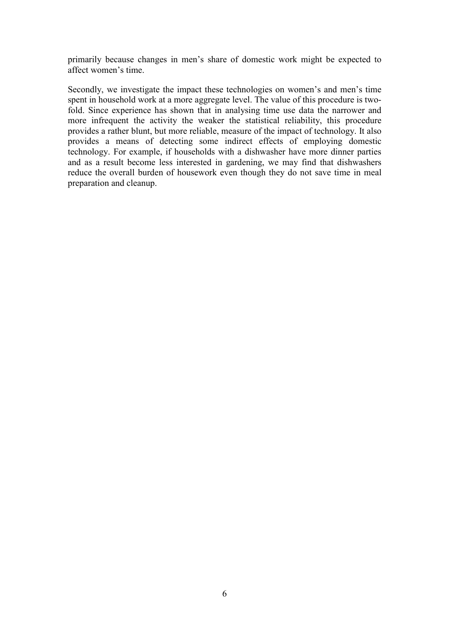primarily because changes in menís share of domestic work might be expected to affect women's time.

Secondly, we investigate the impact these technologies on women's and men's time spent in household work at a more aggregate level. The value of this procedure is twofold. Since experience has shown that in analysing time use data the narrower and more infrequent the activity the weaker the statistical reliability, this procedure provides a rather blunt, but more reliable, measure of the impact of technology. It also provides a means of detecting some indirect effects of employing domestic technology. For example, if households with a dishwasher have more dinner parties and as a result become less interested in gardening, we may find that dishwashers reduce the overall burden of housework even though they do not save time in meal preparation and cleanup.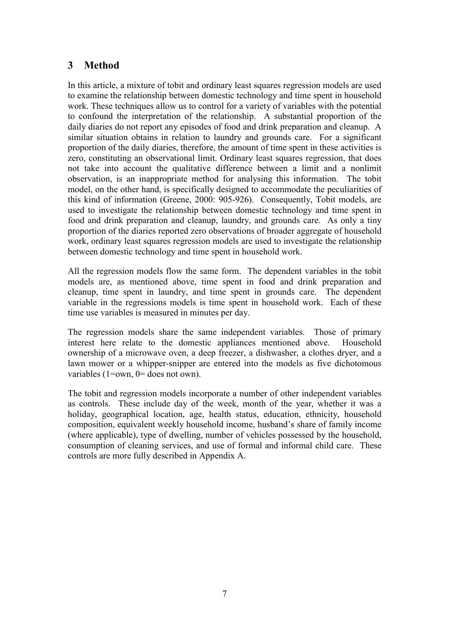## **3 Method**

In this article, a mixture of tobit and ordinary least squares regression models are used to examine the relationship between domestic technology and time spent in household work. These techniques allow us to control for a variety of variables with the potential to confound the interpretation of the relationship. A substantial proportion of the daily diaries do not report any episodes of food and drink preparation and cleanup. A similar situation obtains in relation to laundry and grounds care. For a significant proportion of the daily diaries, therefore, the amount of time spent in these activities is zero, constituting an observational limit. Ordinary least squares regression, that does not take into account the qualitative difference between a limit and a nonlimit observation, is an inappropriate method for analysing this information. The tobit model, on the other hand, is specifically designed to accommodate the peculiarities of this kind of information (Greene, 2000: 905-926). Consequently, Tobit models, are used to investigate the relationship between domestic technology and time spent in food and drink preparation and cleanup, laundry, and grounds care. As only a tiny proportion of the diaries reported zero observations of broader aggregate of household work, ordinary least squares regression models are used to investigate the relationship between domestic technology and time spent in household work.

All the regression models flow the same form. The dependent variables in the tobit models are, as mentioned above, time spent in food and drink preparation and cleanup, time spent in laundry, and time spent in grounds care. The dependent variable in the regressions models is time spent in household work. Each of these time use variables is measured in minutes per day.

The regression models share the same independent variables. Those of primary interest here relate to the domestic appliances mentioned above. Household ownership of a microwave oven, a deep freezer, a dishwasher, a clothes dryer, and a lawn mower or a whipper-snipper are entered into the models as five dichotomous variables (1=own, 0= does not own).

The tobit and regression models incorporate a number of other independent variables as controls. These include day of the week, month of the year, whether it was a holiday, geographical location, age, health status, education, ethnicity, household composition, equivalent weekly household income, husband's share of family income (where applicable), type of dwelling, number of vehicles possessed by the household, consumption of cleaning services, and use of formal and informal child care. These controls are more fully described in Appendix A.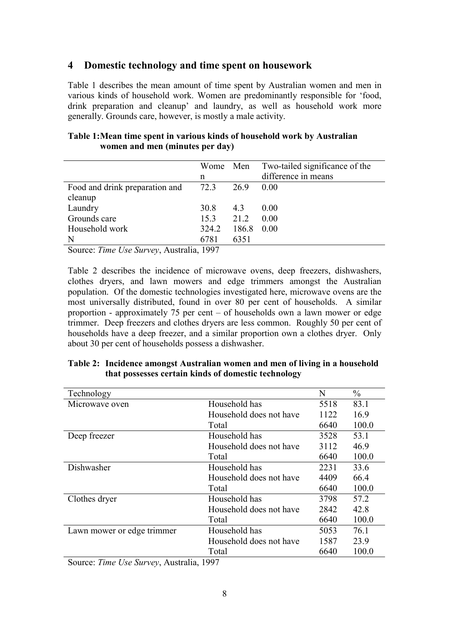### **4 Domestic technology and time spent on housework**

Table 1 describes the mean amount of time spent by Australian women and men in various kinds of household work. Women are predominantly responsible for 'food, drink preparation and cleanup' and laundry, as well as household work more generally. Grounds care, however, is mostly a male activity.

|                                |               |       | Wome Men Two-tailed significance of the |
|--------------------------------|---------------|-------|-----------------------------------------|
|                                | n             |       | difference in means                     |
| Food and drink preparation and | 72.3          | 26.9  | 0.00                                    |
| cleanup                        |               |       |                                         |
| Laundry                        | 30.8          | 4.3   | 0.00                                    |
| Grounds care                   | $15.3$ $21.2$ |       | 0.00                                    |
| Household work                 | 324.2         | 186.8 | 0.00                                    |
| N                              | 6781          | 6351  |                                         |

| Table 1: Mean time spent in various kinds of household work by Australian |
|---------------------------------------------------------------------------|
| women and men (minutes per day)                                           |

Source: *Time Use Survey*, Australia, 1997

Table 2 describes the incidence of microwave ovens, deep freezers, dishwashers, clothes dryers, and lawn mowers and edge trimmers amongst the Australian population. Of the domestic technologies investigated here, microwave ovens are the most universally distributed, found in over 80 per cent of households. A similar proportion - approximately 75 per cent  $-$  of households own a lawn mower or edge trimmer. Deep freezers and clothes dryers are less common. Roughly 50 per cent of households have a deep freezer, and a similar proportion own a clothes dryer. Only about 30 per cent of households possess a dishwasher.

| Technology                 |                         | N    | $\frac{0}{0}$ |
|----------------------------|-------------------------|------|---------------|
| Microwave oven             | Household has           | 5518 | 83.1          |
|                            | Household does not have | 1122 | 16.9          |
|                            | Total                   | 6640 | 100.0         |
| Deep freezer               | Household has           | 3528 | 53.1          |
|                            | Household does not have | 3112 | 46.9          |
|                            | Total                   | 6640 | 100.0         |
| Dishwasher                 | Household has           | 2231 | 33.6          |
|                            | Household does not have | 4409 | 66.4          |
|                            | Total                   | 6640 | 100.0         |
| Clothes dryer              | Household has           | 3798 | 57.2          |
|                            | Household does not have | 2842 | 42.8          |
|                            | Total                   | 6640 | 100.0         |
| Lawn mower or edge trimmer | Household has           | 5053 | 76.1          |
|                            | Household does not have | 1587 | 23.9          |
|                            | Total                   | 6640 | 100.0         |

**Table 2: Incidence amongst Australian women and men of living in a household that possesses certain kinds of domestic technology** 

Source: *Time Use Survey*, Australia, 1997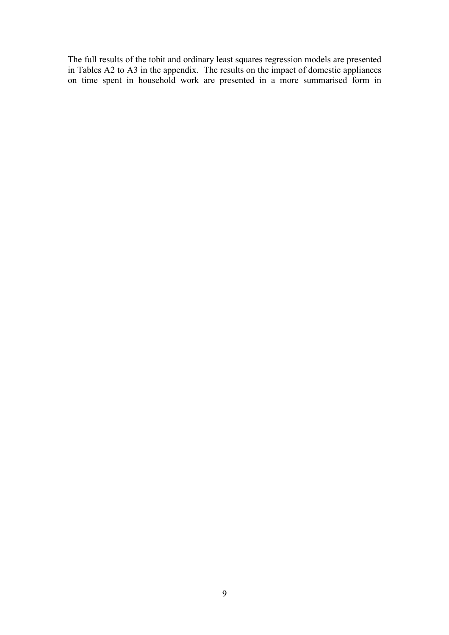The full results of the tobit and ordinary least squares regression models are presented in Tables A2 to A3 in the appendix. The results on the impact of domestic appliances on time spent in household work are presented in a more summarised form in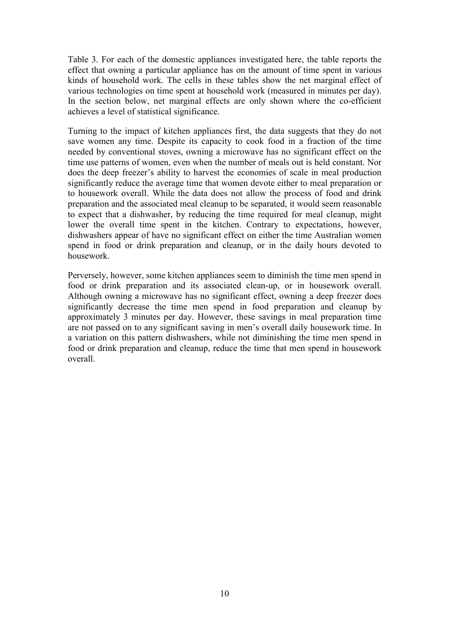[Table 3.](#page-14-0) For each of the domestic appliances investigated here, the table reports the effect that owning a particular appliance has on the amount of time spent in various [k](#page-14-0)inds of household work. The cells in these tables show the net marginal effect of various technologies on time spent at household work (measured in minutes per day). In the section below, net marginal effects are only shown where the co-efficient achieves a level of statistical significance.

Turning to the impact of kitchen appliances first, the data suggests that they do not save women any time. Despite its capacity to cook food in a fraction of the time needed by conventional stoves, owning a microwave has no significant effect on the time use patterns of women, even when the number of meals out is held constant. Nor does the deep freezer's ability to harvest the economies of scale in meal production significantly reduce the average time that women devote either to meal preparation or to housework overall. While the data does not allow the process of food and drink preparation and the associated meal cleanup to be separated, it would seem reasonable to expect that a dishwasher, by reducing the time required for meal cleanup, might lower the overall time spent in the kitchen. Contrary to expectations, however, dishwashers appear of have no significant effect on either the time Australian women spend in food or drink preparation and cleanup, or in the daily hours devoted to housework.

Perversely, however, some kitchen appliances seem to diminish the time men spend in food or drink preparation and its associated clean-up, or in housework overall. Although owning a microwave has no significant effect, owning a deep freezer does significantly decrease the time men spend in food preparation and cleanup by approximately 3 minutes per day. However, these savings in meal preparation time are not passed on to any significant saving in men's overall daily housework time. In a variation on this pattern dishwashers, while not diminishing the time men spend in food or drink preparation and cleanup, reduce the time that men spend in housework overall.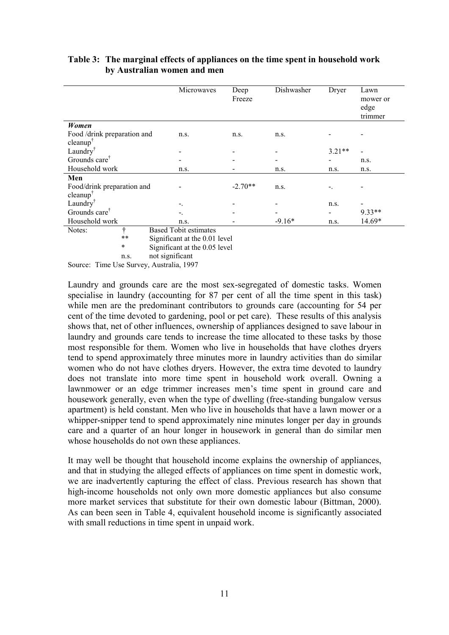|                             | Microwaves                                                                                                | Deep<br>Freeze | Dishwasher               | Dryer          | Lawn<br>mower or<br>edge<br>trimmer |
|-----------------------------|-----------------------------------------------------------------------------------------------------------|----------------|--------------------------|----------------|-------------------------------------|
| Women                       |                                                                                                           |                |                          |                |                                     |
| Food /drink preparation and | n.s.                                                                                                      | n.s.           | n.s.                     |                |                                     |
| cleanup <sup>†</sup>        |                                                                                                           |                |                          |                |                                     |
| Laundry <sup>†</sup>        |                                                                                                           |                | $\overline{\phantom{0}}$ | $3.21**$       |                                     |
| Grounds care <sup>†</sup>   |                                                                                                           |                |                          |                | n.s.                                |
| Household work              | n.s.                                                                                                      |                | n.s.                     | n.S.           | n.s.                                |
| Men                         |                                                                                                           |                |                          |                |                                     |
| Food/drink preparation and  |                                                                                                           | $-2.70**$      | n.s.                     | Ξ.             |                                     |
| cleanup <sup>†</sup>        |                                                                                                           |                |                          |                |                                     |
| Laundry <sup>†</sup>        | Ξ.                                                                                                        |                |                          | n.s.           |                                     |
| Grounds care <sup>†</sup>   | ۳.                                                                                                        |                |                          | $\blacksquare$ | 9.33**                              |
| Household work              | n.s.                                                                                                      |                | $-9.16*$                 | n.s.           | 14.69*                              |
| ÷<br>Notes:                 | <b>Based Tobit estimates</b>                                                                              |                |                          |                |                                     |
| $***$                       | Significant at the 0.01 level                                                                             |                |                          |                |                                     |
| sk.                         | $\mathcal{C}_{i}$ and $\mathcal{C}_{i}$ and $\mathcal{C}_{i}$ the $\mathcal{C}_{i}$ $\mathcal{C}_{i}$ and |                |                          |                |                                     |

#### <span id="page-14-0"></span>**Table 3: The marginal effects of appliances on the time spent in household work by Australian women and men**

Source: Time Use Survey, Australia, 1997

n.s. not significant

Laundry and grounds care are the most sex-segregated of domestic tasks. Women specialise in laundry (accounting for 87 per cent of all the time spent in this task) while men are the predominant contributors to grounds care (accounting for 54 per cent of the time devoted to gardening, pool or pet care). These results of this analysis shows that, net of other influences, ownership of appliances designed to save labour in laundry and grounds care tends to increase the time allocated to these tasks by those most responsible for them. Women who live in households that have clothes dryers tend to spend approximately three minutes more in laundry activities than do similar women who do not have clothes dryers. However, the extra time devoted to laundry does not translate into more time spent in household work overall. Owning a lawnmower or an edge trimmer increases men's time spent in ground care and housework generally, even when the type of dwelling (free-standing bungalow versus apartment) is held constant. Men who live in households that have a lawn mower or a whipper-snipper tend to spend approximately nine minutes longer per day in grounds care and a quarter of an hour longer in housework in general than do similar men whose households do not own these appliances.

Significant at the 0.05 level

It may well be thought that household income explains the ownership of appliances, and that in studying the alleged effects of appliances on time spent in domestic work, we are inadvertently capturing the effect of class. Previous research has shown that high-income households not only own more domestic appliances but also consume more market services that substitute for their own domestic labour (Bittman, 2000). As can been seen in [Table 4,](#page-15-0) equivalent household income is significantly associated with small reductions in time spent in unpaid work.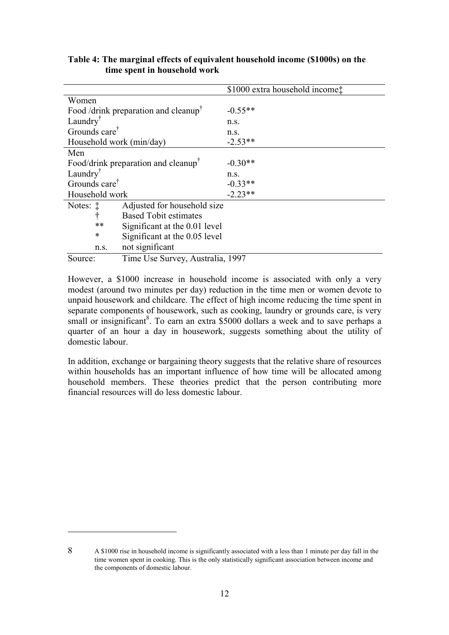|                           |                                                                      | \$1000 extra household incomet |
|---------------------------|----------------------------------------------------------------------|--------------------------------|
| Women                     |                                                                      |                                |
|                           | Food /drink preparation and cleanup <sup><math>\uparrow</math></sup> | $-0.55**$                      |
| Laundry                   |                                                                      | n.s.                           |
| Grounds care <sup>†</sup> |                                                                      | n.s.                           |
| Household work (min/day)  |                                                                      | $-2.53**$                      |
| Men                       |                                                                      |                                |
|                           | Food/drink preparation and cleanup <sup>†</sup>                      | $-0.30**$                      |
| Laundry                   |                                                                      | n.S.                           |
| Grounds care <sup>†</sup> |                                                                      | $-0.33**$                      |
| Household work            |                                                                      | $-2.23**$                      |
| Notes: $\ddagger$         | Adjusted for household size                                          |                                |
|                           | <b>Based Tobit estimates</b>                                         |                                |
| $***$                     | Significant at the 0.01 level                                        |                                |
| $\ast$                    | Significant at the 0.05 level                                        |                                |
| n.s.                      | not significant                                                      |                                |
| Source:                   | Time Use Survey, Australia, 1997                                     |                                |

#### <span id="page-15-0"></span>**Table 4: The marginal effects of equivalent household income (\$1000s) on the time spent in household work**

However, a \$1000 increase in household income is associated with only a very modest (around two minutes per day) reduction in the time men or women devote to unpaid housework and childcare. The effect of high income reducing the time spent in separate components of housework, such as cooking, laundry or grounds care, is very small or insignificant<sup>8</sup>. To earn an extra \$5000 dollars a week and to save perhaps a quarter of an hour a day in housework, suggests something about the utility of domestic labour.

In addition, exchange or bargaining theory suggests that the relative share of resources within households has an important influence of how time will be allocated among household members. These theories predict that the person contributing more financial resources will do less domestic labour.

 $\overline{a}$ 

<sup>8</sup> A \$1000 rise in household income is significantly associated with a less than 1 minute per day fall in the time women spent in cooking. This is the only statistically significant association between income and the components of domestic labour.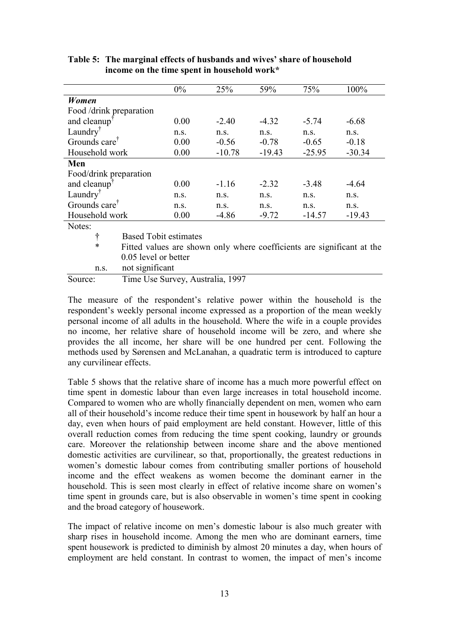|                                                                                  | $0\%$ | 25%      | 59%      | 75%      | 100%     |
|----------------------------------------------------------------------------------|-------|----------|----------|----------|----------|
| Women                                                                            |       |          |          |          |          |
| Food /drink preparation                                                          |       |          |          |          |          |
| and cleanup <sup>†</sup>                                                         | 0.00  | $-2.40$  | $-4.32$  | $-5.74$  | $-6.68$  |
| Laundry <sup>†</sup>                                                             | n.S.  | n.s.     | n.s.     | n.s.     | n.s.     |
| Grounds care <sup>†</sup>                                                        | 0.00  | $-0.56$  | $-0.78$  | $-0.65$  | $-0.18$  |
| Household work                                                                   | 0.00  | $-10.78$ | $-19.43$ | $-25.95$ | $-30.34$ |
| Men                                                                              |       |          |          |          |          |
| Food/drink preparation                                                           |       |          |          |          |          |
| and cleanup <sup>†</sup>                                                         | 0.00  | $-1.16$  | $-2.32$  | $-3.48$  | $-4.64$  |
| Laundry <sup>†</sup>                                                             | n.s.  | n.S.     | n.S.     | n.s.     | n.S.     |
| Grounds care <sup>†</sup>                                                        | n.s.  | n.s.     | n.s.     | n.s.     | n.S.     |
| Household work                                                                   | 0.00  | $-4.86$  | $-9.72$  | $-14.57$ | $-19.43$ |
| Notes:                                                                           |       |          |          |          |          |
| <b>Based Tobit estimates</b>                                                     |       |          |          |          |          |
| $\ast$<br>Fitted values are shown only where coefficients are significant at the |       |          |          |          |          |
| 0.05 level or better                                                             |       |          |          |          |          |
| not significant<br>n.S.                                                          |       |          |          |          |          |

#### Table 5: The marginal effects of husbands and wives' share of household **income on the time spent in household work\***

Source: Time Use Survey, Australia, 1997

The measure of the respondent's relative power within the household is the respondent's weekly personal income expressed as a proportion of the mean weekly personal income of all adults in the household. Where the wife in a couple provides no income, her relative share of household income will be zero, and where she provides the all income, her share will be one hundred per cent. Following the methods used by Sørensen and McLanahan, a quadratic term is introduced to capture any curvilinear effects.

Table 5 shows that the relative share of income has a much more powerful effect on time spent in domestic labour than even large increases in total household income. Compared to women who are wholly financially dependent on men, women who earn all of their household's income reduce their time spent in housework by half an hour a day, even when hours of paid employment are held constant. However, little of this overall reduction comes from reducing the time spent cooking, laundry or grounds care. Moreover the relationship between income share and the above mentioned domestic activities are curvilinear, so that, proportionally, the greatest reductions in women's domestic labour comes from contributing smaller portions of household income and the effect weakens as women become the dominant earner in the household. This is seen most clearly in effect of relative income share on women's time spent in grounds care, but is also observable in women's time spent in cooking and the broad category of housework.

The impact of relative income on men's domestic labour is also much greater with sharp rises in household income. Among the men who are dominant earners, time spent housework is predicted to diminish by almost 20 minutes a day, when hours of employment are held constant. In contrast to women, the impact of men's income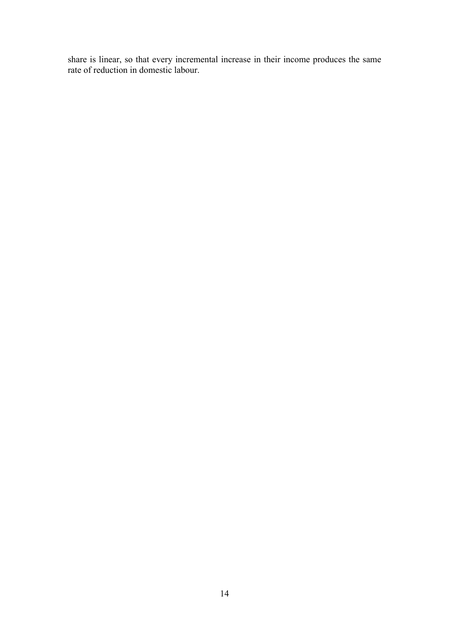share is linear, so that every incremental increase in their income produces the same rate of reduction in domestic labour.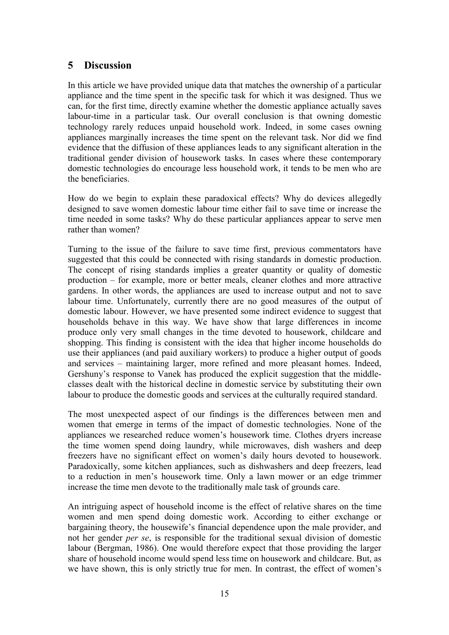## **5 Discussion**

In this article we have provided unique data that matches the ownership of a particular appliance and the time spent in the specific task for which it was designed. Thus we can, for the first time, directly examine whether the domestic appliance actually saves labour-time in a particular task. Our overall conclusion is that owning domestic technology rarely reduces unpaid household work. Indeed, in some cases owning appliances marginally increases the time spent on the relevant task. Nor did we find evidence that the diffusion of these appliances leads to any significant alteration in the traditional gender division of housework tasks. In cases where these contemporary domestic technologies do encourage less household work, it tends to be men who are the beneficiaries.

How do we begin to explain these paradoxical effects? Why do devices allegedly designed to save women domestic labour time either fail to save time or increase the time needed in some tasks? Why do these particular appliances appear to serve men rather than women?

Turning to the issue of the failure to save time first, previous commentators have suggested that this could be connected with rising standards in domestic production. The concept of rising standards implies a greater quantity or quality of domestic production  $-$  for example, more or better meals, cleaner clothes and more attractive gardens. In other words, the appliances are used to increase output and not to save labour time. Unfortunately, currently there are no good measures of the output of domestic labour. However, we have presented some indirect evidence to suggest that households behave in this way. We have show that large differences in income produce only very small changes in the time devoted to housework, childcare and shopping. This finding is consistent with the idea that higher income households do use their appliances (and paid auxiliary workers) to produce a higher output of goods and services – maintaining larger, more refined and more pleasant homes. Indeed, Gershuny's response to Vanek has produced the explicit suggestion that the middleclasses dealt with the historical decline in domestic service by substituting their own labour to produce the domestic goods and services at the culturally required standard.

The most unexpected aspect of our findings is the differences between men and women that emerge in terms of the impact of domestic technologies. None of the appliances we researched reduce women's housework time. Clothes dryers increase the time women spend doing laundry, while microwaves, dish washers and deep freezers have no significant effect on women's daily hours devoted to housework. Paradoxically, some kitchen appliances, such as dishwashers and deep freezers, lead to a reduction in men's housework time. Only a lawn mower or an edge trimmer increase the time men devote to the traditionally male task of grounds care.

An intriguing aspect of household income is the effect of relative shares on the time women and men spend doing domestic work. According to either exchange or bargaining theory, the housewife's financial dependence upon the male provider, and not her gender *per se*, is responsible for the traditional sexual division of domestic labour (Bergman, 1986). One would therefore expect that those providing the larger share of household income would spend less time on housework and childcare. But, as we have shown, this is only strictly true for men. In contrast, the effect of women's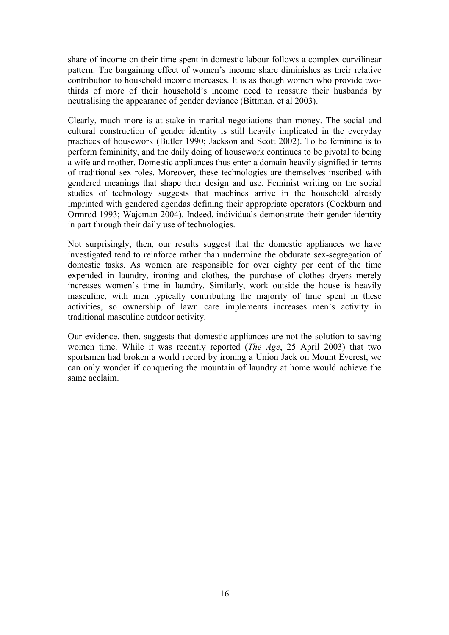share of income on their time spent in domestic labour follows a complex curvilinear pattern. The bargaining effect of women's income share diminishes as their relative contribution to household income increases. It is as though women who provide twothirds of more of their household's income need to reassure their husbands by neutralising the appearance of gender deviance (Bittman, et al 2003).

Clearly, much more is at stake in marital negotiations than money. The social and cultural construction of gender identity is still heavily implicated in the everyday practices of housework (Butler 1990; Jackson and Scott 2002). To be feminine is to perform femininity, and the daily doing of housework continues to be pivotal to being a wife and mother. Domestic appliances thus enter a domain heavily signified in terms of traditional sex roles. Moreover, these technologies are themselves inscribed with gendered meanings that shape their design and use. Feminist writing on the social studies of technology suggests that machines arrive in the household already imprinted with gendered agendas defining their appropriate operators (Cockburn and Ormrod 1993; Wajcman 2004). Indeed, individuals demonstrate their gender identity in part through their daily use of technologies.

Not surprisingly, then, our results suggest that the domestic appliances we have investigated tend to reinforce rather than undermine the obdurate sex-segregation of domestic tasks. As women are responsible for over eighty per cent of the time expended in laundry, ironing and clothes, the purchase of clothes dryers merely increases women's time in laundry. Similarly, work outside the house is heavily masculine, with men typically contributing the majority of time spent in these activities, so ownership of lawn care implements increases men's activity in traditional masculine outdoor activity.

Our evidence, then, suggests that domestic appliances are not the solution to saving women time. While it was recently reported (*The Age*, 25 April 2003) that two sportsmen had broken a world record by ironing a Union Jack on Mount Everest, we can only wonder if conquering the mountain of laundry at home would achieve the same acclaim.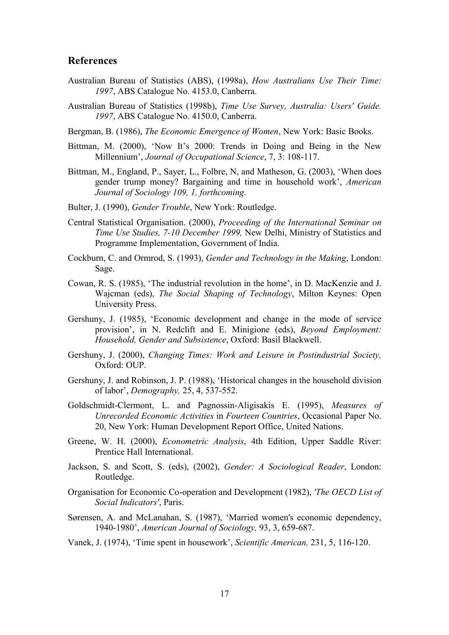#### **References**

- Australian Bureau of Statistics (ABS), (1998a), *How Australians Use Their Time: 1997*, ABS Catalogue No. 4153.0, Canberra.
- Australian Bureau of Statistics (1998b), *Time Use Survey, Australia: Users' Guide. 1997*, ABS Catalogue No. 4150.0, Canberra.

Bergman, B. (1986), *The Economic Emergence of Women*, New York: Basic Books.

- Bittman, M. (2000), 'Now It's 2000: Trends in Doing and Being in the New Millenniumí, *Journal of Occupational Science*, 7, 3: 108-117.
- Bittman, M., England, P., Sayer, L., Folbre, N, and Matheson, G. (2003), 'When does gender trump money? Bargaining and time in household work', *American Journal of Sociology 109, 1, forthcoming.*
- Bulter, J. (1990), *Gender Trouble*, New York: Routledge.
- Central Statistical Organisation. (2000), *Proceeding of the International Seminar on Time Use Studies, 7-10 December 1999,* New Delhi, Ministry of Statistics and Programme Implementation, Government of India.
- Cockburn, C. and Ormrod, S. (1993), *Gender and Technology in the Making*, London: Sage.
- Cowan, R. S. (1985), 'The industrial revolution in the home', in D. MacKenzie and J. Wajcman (eds), *The Social Shaping of Technology*, Milton Keynes: Open University Press.
- Gershuny, J. (1985), ëEconomic development and change in the mode of service provision<sup>'</sup>, in N. Redclift and E. Minigione (eds), *Beyond Employment*: *Household, Gender and Subsistence*, Oxford: Basil Blackwell.
- Gershuny, J. (2000), *Changing Times: Work and Leisure in Postindustrial Society,* Oxford: OUP.
- Gershuny, J. and Robinson, J. P. (1988), ëHistorical changes in the household division of laborí, *Demography,* 25, 4, 537-552.
- Goldschmidt-Clermont, L. and Pagnossin-Aligisakis E. (1995), *Measures of Unrecorded Economic Activities* in *Fourteen Countries*, Occasional Paper No. 20, New York: Human Development Report Office, United Nations.
- Greene, W. H. (2000), *Econometric Analysis*, 4th Edition, Upper Saddle River: Prentice Hall International.
- Jackson, S. and Scott, S. (eds), (2002), *Gender: A Sociological Reader*, London: Routledge.
- Organisation for Economic Co-operation and Development (1982), *'The OECD List of Social Indicators'*, Paris.
- Sørensen, A. and McLanahan, S. (1987), 'Married women's economic dependency, 1940-1980í, *American Journal of Sociology,* 93, 3, 659-687.
- Vanek, J. (1974), 'Time spent in housework', *Scientific American*, 231, 5, 116-120.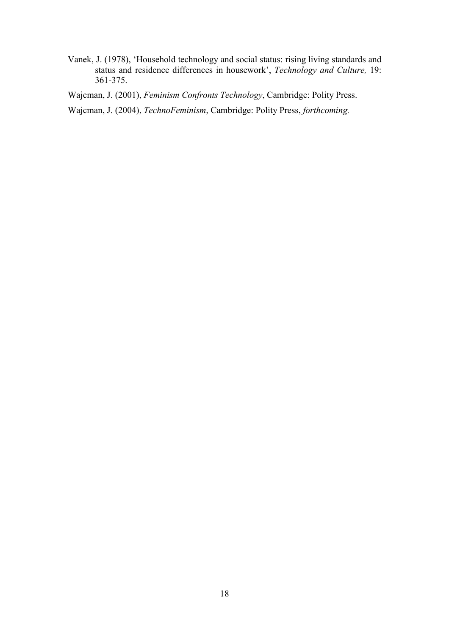Vanek, J. (1978), ëHousehold technology and social status: rising living standards and status and residence differences in housework', *Technology and Culture*, 19: 361-375.

Wajcman, J. (2001), *Feminism Confronts Technology*, Cambridge: Polity Press.

Wajcman, J. (2004), *TechnoFeminism*, Cambridge: Polity Press, *forthcoming.*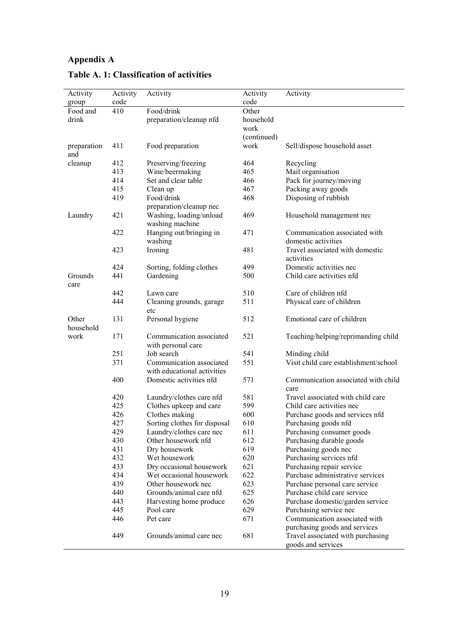# <span id="page-22-0"></span>**Appendix A**

| Activity    | Activity | Activity                     | Activity    | Activity                                                           |
|-------------|----------|------------------------------|-------------|--------------------------------------------------------------------|
| group       | code     |                              | code        |                                                                    |
| Food and    | 410      | Food/drink                   | Other       |                                                                    |
| drink       |          | preparation/cleanup nfd      | household   |                                                                    |
|             |          |                              | work        |                                                                    |
|             |          |                              | (continued) |                                                                    |
| preparation | 411      | Food preparation             | work        | Sell/dispose household asset                                       |
| and         |          |                              |             |                                                                    |
| cleanup     | 412      | Preserving/freezing          | 464         | Recycling                                                          |
|             | 413      | Wine/beermaking              | 465         | Mail organisation                                                  |
|             | 414      | Set and clear table          | 466         | Pack for journey/moving                                            |
|             | 415      | Clean up                     | 467         | Packing away goods                                                 |
|             | 419      | Food/drink                   | 468         | Disposing of rubbish                                               |
|             |          | preparation/cleanup nec      |             |                                                                    |
| Laundry     | 421      | Washing, loading/unload      | 469         | Household management nec                                           |
|             |          | washing machine              |             |                                                                    |
|             | 422      | Hanging out/bringing in      | 471         | Communication associated with                                      |
|             |          | washing                      |             | domestic activities                                                |
|             | 423      | Ironing                      | 481         | Travel associated with domestic                                    |
|             |          |                              |             | activities                                                         |
|             |          |                              | 499         | Domestic activities nec                                            |
|             | 424      | Sorting, folding clothes     |             | Child care activities nfd                                          |
| Grounds     | 441      | Gardening                    | 500         |                                                                    |
| care        |          |                              |             |                                                                    |
|             | 442      | Lawn care                    | 510         | Care of children nfd                                               |
|             | 444      | Cleaning grounds, garage     | 511         | Physical care of children                                          |
|             |          | etc                          |             |                                                                    |
| Other       | 131      | Personal hygiene             | 512         | Emotional care of children                                         |
| household   |          |                              |             |                                                                    |
| work        | 171      | Communication associated     | 521         | Teaching/helping/reprimanding child                                |
|             |          | with personal care           |             |                                                                    |
|             | 251      | Job search                   | 541         | Minding child                                                      |
|             | 371      | Communication associated     | 551         | Visit child care establishment/school                              |
|             |          | with educational activities  |             |                                                                    |
|             | 400      | Domestic activities nfd      | 571         | Communication associated with child                                |
|             |          |                              |             | care                                                               |
|             | 420      | Laundry/clothes care nfd     | 581         | Travel associated with child care                                  |
|             | 425      | Clothes upkeep and care      | 599         | Child care activities nec                                          |
|             | 426      | Clothes making               | 600         | Purchase goods and services nfd                                    |
|             | 427      | Sorting clothes for disposal | 610         | Purchasing goods nfd                                               |
|             | 429      | Laundry/clothes care nec     | 611         | Purchasing consumer goods                                          |
|             | 430      | Other housework nfd          | 612         | Purchasing durable goods                                           |
|             | 431      | Dry housework                | 619         | Purchasing goods nec                                               |
|             | 432      | Wet housework                | 620         | Purchasing services nfd                                            |
|             | 433      | Dry occasional housework     | 621         | Purchasing repair service                                          |
|             | 434      | Wet occasional housework     | 622         | Purchase administrative services                                   |
|             | 439      | Other housework nec          | 623         | Purchase personal care service                                     |
|             | 440      | Grounds/animal care nfd      | 625         | Purchase child care service                                        |
|             | 443      | Harvesting home produce      | 626         | Purchase domestic/garden service                                   |
|             | 445      | Pool care                    | 629         | Purchasing service nec                                             |
|             | 446      | Pet care                     | 671         | Communication associated with                                      |
|             |          |                              |             |                                                                    |
|             |          |                              |             |                                                                    |
|             | 449      | Grounds/animal care nec      | 681         | purchasing goods and services<br>Travel associated with purchasing |

## **Table A. 1: Classification of activities**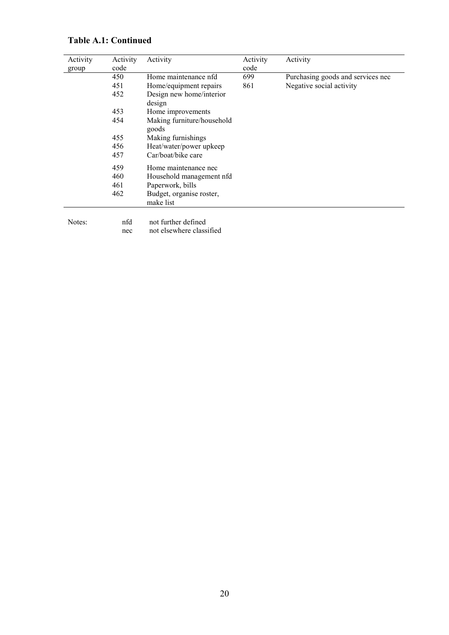| Activity<br>group | Activity<br>code | Activity                                        | Activity<br>code | Activity                          |
|-------------------|------------------|-------------------------------------------------|------------------|-----------------------------------|
|                   | 450              | Home maintenance nfd                            | 699              | Purchasing goods and services nec |
|                   | 451              | Home/equipment repairs                          | 861              | Negative social activity          |
|                   | 452              | Design new home/interior<br>design              |                  |                                   |
|                   | 453              | Home improvements                               |                  |                                   |
|                   | 454              | Making furniture/household<br>goods             |                  |                                   |
|                   | 455              | Making furnishings                              |                  |                                   |
|                   | 456              | Heat/water/power upkeep                         |                  |                                   |
|                   | 457              | Car/boat/bike care                              |                  |                                   |
|                   | 459              | Home maintenance nec                            |                  |                                   |
|                   | 460              | Household management nfd                        |                  |                                   |
|                   | 461              | Paperwork, bills                                |                  |                                   |
|                   | 462              | Budget, organise roster,<br>make list           |                  |                                   |
| Notes:            | nfd<br>nec       | not further defined<br>not elsewhere classified |                  |                                   |

## **Table A.1: Continued**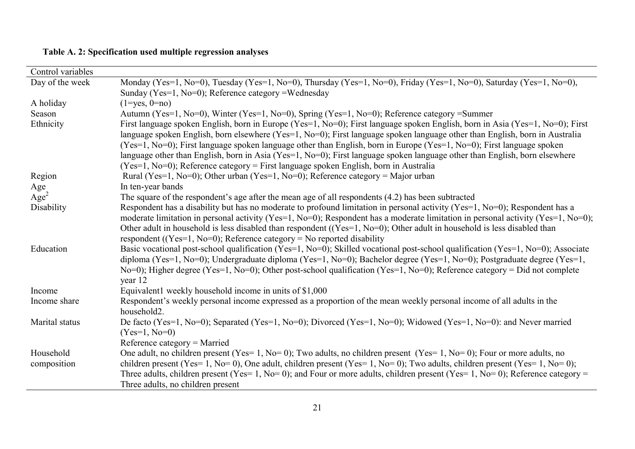# **Table A. 2: Specification used multiple regression analyses**

| Control variables        |                                                                                                                                                                                                                                                                                                                                                                                                                                                                                                                     |
|--------------------------|---------------------------------------------------------------------------------------------------------------------------------------------------------------------------------------------------------------------------------------------------------------------------------------------------------------------------------------------------------------------------------------------------------------------------------------------------------------------------------------------------------------------|
| Day of the week          | Monday (Yes=1, No=0), Tuesday (Yes=1, No=0), Thursday (Yes=1, No=0), Friday (Yes=1, No=0), Saturday (Yes=1, No=0),                                                                                                                                                                                                                                                                                                                                                                                                  |
|                          | Sunday (Yes=1, No=0); Reference category = Wednesday                                                                                                                                                                                                                                                                                                                                                                                                                                                                |
| A holiday                | $(1 = yes, 0 = no)$                                                                                                                                                                                                                                                                                                                                                                                                                                                                                                 |
| Season                   | Autumn (Yes=1, No=0), Winter (Yes=1, No=0), Spring (Yes=1, No=0); Reference category = Summer                                                                                                                                                                                                                                                                                                                                                                                                                       |
| Ethnicity                | First language spoken English, born in Europe (Yes=1, No=0); First language spoken English, born in Asia (Yes=1, No=0); First<br>language spoken English, born elsewhere (Yes=1, No=0); First language spoken language other than English, born in Australia<br>(Yes=1, No=0); First language spoken language other than English, born in Europe (Yes=1, No=0); First language spoken<br>language other than English, born in Asia (Yes=1, No=0); First language spoken language other than English, born elsewhere |
|                          | $(Yes=1, No=0)$ ; Reference category = First language spoken English, born in Australia                                                                                                                                                                                                                                                                                                                                                                                                                             |
| Region                   | Rural (Yes=1, No=0); Other urban (Yes=1, No=0); Reference category = Major urban                                                                                                                                                                                                                                                                                                                                                                                                                                    |
| Age                      | In ten-year bands                                                                                                                                                                                                                                                                                                                                                                                                                                                                                                   |
| Age <sup>2</sup>         | The square of the respondent's age after the mean age of all respondents (4.2) has been subtracted                                                                                                                                                                                                                                                                                                                                                                                                                  |
| Disability               | Respondent has a disability but has no moderate to profound limitation in personal activity (Yes=1, No=0); Respondent has a<br>moderate limitation in personal activity (Yes=1, No=0); Respondent has a moderate limitation in personal activity (Yes=1, No=0);<br>Other adult in household is less disabled than respondent ( $(Yes=1, No=0)$ ; Other adult in household is less disabled than<br>respondent ((Yes=1, No=0); Reference category = No reported disability                                           |
| Education                | Basic vocational post-school qualification (Yes=1, No=0); Skilled vocational post-school qualification (Yes=1, No=0); Associate<br>diploma (Yes=1, No=0); Undergraduate diploma (Yes=1, No=0); Bachelor degree (Yes=1, No=0); Postgraduate degree (Yes=1,<br>No=0); Higher degree (Yes=1, No=0); Other post-school qualification (Yes=1, No=0); Reference category = Did not complete<br>year 12                                                                                                                    |
| Income                   | Equivalent1 weekly household income in units of \$1,000                                                                                                                                                                                                                                                                                                                                                                                                                                                             |
| Income share             | Respondent's weekly personal income expressed as a proportion of the mean weekly personal income of all adults in the<br>household2.                                                                                                                                                                                                                                                                                                                                                                                |
| Marital status           | De facto (Yes=1, No=0); Separated (Yes=1, No=0); Divorced (Yes=1, No=0); Widowed (Yes=1, No=0): and Never married<br>$(Yes=1, No=0)$                                                                                                                                                                                                                                                                                                                                                                                |
|                          | Reference category = Married                                                                                                                                                                                                                                                                                                                                                                                                                                                                                        |
| Household<br>composition | One adult, no children present (Yes= 1, No= 0); Two adults, no children present (Yes= 1, No= 0); Four or more adults, no<br>children present (Yes= 1, No= 0), One adult, children present (Yes= 1, No= 0); Two adults, children present (Yes= 1, No= 0);<br>Three adults, children present (Yes= 1, No= 0); and Four or more adults, children present (Yes= 1, No= 0); Reference category =<br>Three adults, no children present                                                                                    |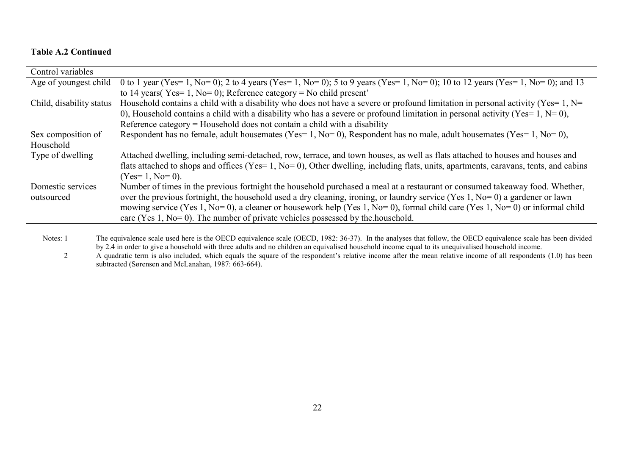#### **Table A.2 Continued**

| Control variables        |                                                                                                                                                             |
|--------------------------|-------------------------------------------------------------------------------------------------------------------------------------------------------------|
| Age of youngest child    | 0 to 1 year (Yes= 1, No= 0); 2 to 4 years (Yes= 1, No= 0); 5 to 9 years (Yes= 1, No= 0); 10 to 12 years (Yes= 1, No= 0); and 13                             |
|                          | to 14 years (Yes= 1, No= 0); Reference category = No child present'                                                                                         |
| Child, disability status | Household contains a child with a disability who does not have a severe or profound limitation in personal activity (Yes= $1$ , N=                          |
|                          | 0), Household contains a child with a disability who has a severe or profound limitation in personal activity (Yes= 1, N= 0),                               |
|                          | Reference category = Household does not contain a child with a disability                                                                                   |
| Sex composition of       | Respondent has no female, adult housemates (Yes= 1, No= 0), Respondent has no male, adult housemates (Yes= 1, No= 0),                                       |
| Household                |                                                                                                                                                             |
| Type of dwelling         | Attached dwelling, including semi-detached, row, terrace, and town houses, as well as flats attached to houses and houses and                               |
|                          | flats attached to shops and offices (Yes= $1$ , No= 0), Other dwelling, including flats, units, apartments, caravans, tents, and cabins                     |
|                          | $(Yes=1, No=0).$                                                                                                                                            |
| Domestic services        | Number of times in the previous fortnight the household purchased a meal at a restaurant or consumed takeaway food. Whether,                                |
| outsourced               | over the previous fortnight, the household used a dry cleaning, ironing, or laundry service (Yes 1, No=0) a gardener or lawn                                |
|                          | mowing service (Yes 1, No= 0), a cleaner or housework help (Yes 1, No= 0), formal child care (Yes 1, No= 0) or informal child                               |
|                          | care (Yes 1, No= 0). The number of private vehicles possessed by the household.                                                                             |
|                          |                                                                                                                                                             |
| Notes: 1                 | The equivalence scale used here is the OECD equivalence scale (OECD, 1982: 36-37). In the analyses that follow, the OECD equivalence scale has been divided |
|                          | by 2.4 in order to give a household with three adults and no children an equivalised household income equal to its unequivalised household income.          |

2 A quadratic term is also included, which equals the square of the respondent's relative income after the mean relative income of all respondents (1.0) has been subtracted (Sørensen and McLanahan, 1987: 663-664).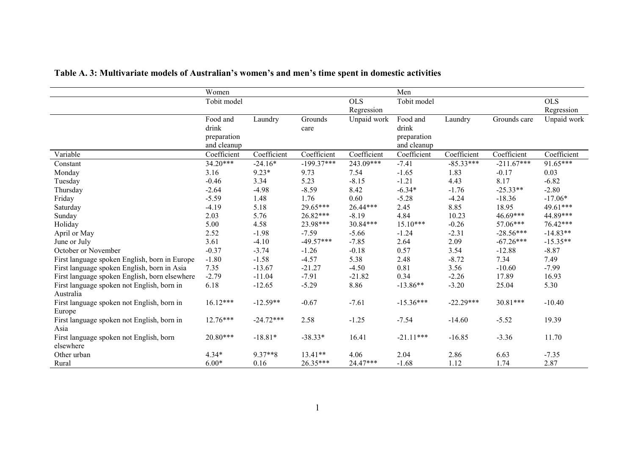|                                               | Women       |             |              |             | Men         |             |              |             |
|-----------------------------------------------|-------------|-------------|--------------|-------------|-------------|-------------|--------------|-------------|
|                                               | Tobit model |             |              | <b>OLS</b>  | Tobit model |             |              | <b>OLS</b>  |
|                                               |             |             |              | Regression  |             |             |              | Regression  |
|                                               | Food and    | Laundry     | Grounds      | Unpaid work | Food and    | Laundry     | Grounds care | Unpaid work |
|                                               | drink       |             | care         |             | drink       |             |              |             |
|                                               | preparation |             |              |             | preparation |             |              |             |
|                                               | and cleanup |             |              |             | and cleanup |             |              |             |
| Variable                                      | Coefficient | Coefficient | Coefficient  | Coefficient | Coefficient | Coefficient | Coefficient  | Coefficient |
| Constant                                      | $34.20***$  | $-24.16*$   | $-199.37***$ | 243.09***   | $-7.41$     | $-85.33***$ | $-211.67***$ | $91.65***$  |
| Monday                                        | 3.16        | $9.23*$     | 9.73         | 7.54        | $-1.65$     | 1.83        | $-0.17$      | 0.03        |
| Tuesday                                       | $-0.46$     | 3.34        | 5.23         | $-8.15$     | $-1.21$     | 4.43        | 8.17         | $-6.82$     |
| Thursday                                      | $-2.64$     | $-4.98$     | $-8.59$      | 8.42        | $-6.34*$    | $-1.76$     | $-25.33**$   | $-2.80$     |
| Friday                                        | $-5.59$     | 1.48        | 1.76         | 0.60        | $-5.28$     | $-4.24$     | $-18.36$     | $-17.06*$   |
| Saturday                                      | $-4.19$     | 5.18        | 29.65***     | 26.44***    | 2.45        | 8.85        | 18.95        | 49.61***    |
| Sunday                                        | 2.03        | 5.76        | 26.82***     | $-8.19$     | 4.84        | 10.23       | $46.69***$   | 44.89***    |
| Holiday                                       | 5.00        | 4.58        | 23.98***     | 30.84***    | $15.10***$  | $-0.26$     | 57.06***     | 76.42***    |
| April or May                                  | 2.52        | $-1.98$     | $-7.59$      | $-5.66$     | $-1.24$     | $-2.31$     | $-28.56***$  | $-14.83**$  |
| June or July                                  | 3.61        | $-4.10$     | $-49.57***$  | $-7.85$     | 2.64        | 2.09        | $-67.26***$  | $-15.35**$  |
| October or November                           | $-0.37$     | $-3.74$     | $-1.26$      | $-0.18$     | 0.57        | 3.54        | $-12.88$     | $-8.87$     |
| First language spoken English, born in Europe | $-1.80$     | $-1.58$     | $-4.57$      | 5.38        | 2.48        | $-8.72$     | 7.34         | 7.49        |
| First language spoken English, born in Asia   | 7.35        | $-13.67$    | $-21.27$     | $-4.50$     | 0.81        | 3.56        | $-10.60$     | $-7.99$     |
| First language spoken English, born elsewhere | $-2.79$     | $-11.04$    | $-7.91$      | $-21.82$    | 0.34        | $-2.26$     | 17.89        | 16.93       |
| First language spoken not English, born in    | 6.18        | $-12.65$    | $-5.29$      | 8.86        | $-13.86**$  | $-3.20$     | 25.04        | 5.30        |
| Australia                                     |             |             |              |             |             |             |              |             |
| First language spoken not English, born in    | $16.12***$  | $-12.59**$  | $-0.67$      | $-7.61$     | $-15.36***$ | $-22.29***$ | 30.81***     | $-10.40$    |
| Europe                                        |             |             |              |             |             |             |              |             |
| First language spoken not English, born in    | $12.76***$  | $-24.72***$ | 2.58         | $-1.25$     | $-7.54$     | $-14.60$    | $-5.52$      | 19.39       |
| Asia                                          |             |             |              |             |             |             |              |             |
| First language spoken not English, born       | $20.80***$  | $-18.81*$   | $-38.33*$    | 16.41       | $-21.11***$ | $-16.85$    | $-3.36$      | 11.70       |
| elsewhere                                     |             |             |              |             |             |             |              |             |
| Other urban                                   | $4.34*$     | $9.37**8$   | $13.41**$    | 4.06        | 2.04        | 2.86        | 6.63         | $-7.35$     |
| Rural                                         | $6.00*$     | 0.16        | 26.35***     | 24.47***    | $-1.68$     | 1.12        | 1.74         | 2.87        |

# Table A. 3: Multivariate models of Australian's women's and men's time spent in domestic activities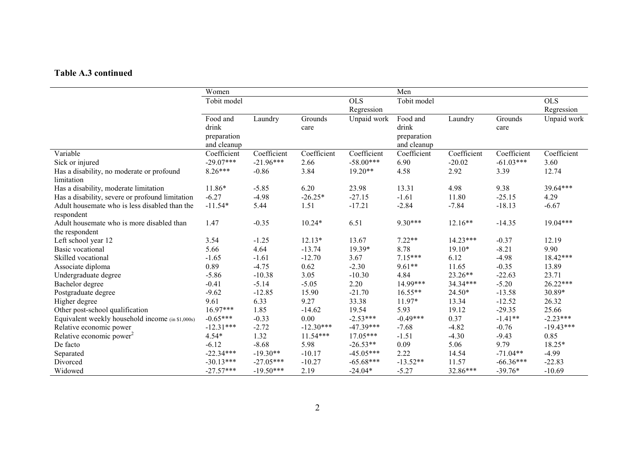#### **Table A.3 continued**

|                                                  | Women       |             |             |             | Men         |             |             |             |
|--------------------------------------------------|-------------|-------------|-------------|-------------|-------------|-------------|-------------|-------------|
|                                                  | Tobit model |             |             | <b>OLS</b>  | Tobit model |             |             | <b>OLS</b>  |
|                                                  |             |             |             | Regression  |             |             |             | Regression  |
|                                                  | Food and    | Laundry     | Grounds     | Unpaid work | Food and    | Laundry     | Grounds     | Unpaid work |
|                                                  | drink       |             | care        |             | drink       |             | care        |             |
|                                                  | preparation |             |             |             | preparation |             |             |             |
|                                                  | and cleanup |             |             |             | and cleanup |             |             |             |
| Variable                                         | Coefficient | Coefficient | Coefficient | Coefficient | Coefficient | Coefficient | Coefficient | Coefficient |
| Sick or injured                                  | $-29.07***$ | $-21.96***$ | 2.66        | $-58.00***$ | 6.90        | $-20.02$    | $-61.03***$ | 3.60        |
| Has a disability, no moderate or profound        | $8.26***$   | $-0.86$     | 3.84        | $19.20**$   | 4.58        | 2.92        | 3.39        | 12.74       |
| limitation                                       |             |             |             |             |             |             |             |             |
| Has a disability, moderate limitation            | 11.86*      | $-5.85$     | 6.20        | 23.98       | 13.31       | 4.98        | 9.38        | 39.64***    |
| Has a disability, severe or profound limitation  | $-6.27$     | $-4.98$     | $-26.25*$   | $-27.15$    | $-1.61$     | 11.80       | $-25.15$    | 4.29        |
| Adult housemate who is less disabled than the    | $-11.54*$   | 5.44        | 1.51        | $-17.21$    | $-2.84$     | $-7.84$     | $-18.13$    | $-6.67$     |
| respondent                                       |             |             |             |             |             |             |             |             |
| Adult housemate who is more disabled than        | 1.47        | $-0.35$     | $10.24*$    | 6.51        | 9.30***     | $12.16**$   | $-14.35$    | $19.04***$  |
| the respondent                                   |             |             |             |             |             |             |             |             |
| Left school year 12                              | 3.54        | $-1.25$     | $12.13*$    | 13.67       | $7.22**$    | $14.23***$  | $-0.37$     | 12.19       |
| Basic vocational                                 | 5.66        | 4.64        | $-13.74$    | 19.39*      | 8.78        | $19.10*$    | $-8.21$     | 9.90        |
| Skilled vocational                               | $-1.65$     | $-1.61$     | $-12.70$    | 3.67        | $7.15***$   | 6.12        | $-4.98$     | $18.42***$  |
| Associate diploma                                | 0.89        | $-4.75$     | 0.62        | $-2.30$     | 9.61**      | 11.65       | $-0.35$     | 13.89       |
| Undergraduate degree                             | $-5.86$     | $-10.38$    | 3.05        | $-10.30$    | 4.84        | 23.26**     | $-22.63$    | 23.71       |
| Bachelor degree                                  | $-0.41$     | $-5.14$     | $-5.05$     | 2.20        | 14.99***    | 34.34***    | $-5.20$     | $26.22***$  |
| Postgraduate degree                              | $-9.62$     | $-12.85$    | 15.90       | $-21.70$    | $16.55**$   | 24.50*      | $-13.58$    | 30.89*      |
| Higher degree                                    | 9.61        | 6.33        | 9.27        | 33.38       | 11.97*      | 13.34       | $-12.52$    | 26.32       |
| Other post-school qualification                  | $16.97***$  | 1.85        | $-14.62$    | 19.54       | 5.93        | 19.12       | $-29.35$    | 25.66       |
| Equivalent weekly household income (in \$1,000s) | $-0.65***$  | $-0.33$     | 0.00        | $-2.53***$  | $-0.49***$  | 0.37        | $-1.41**$   | $-2.23***$  |
| Relative economic power                          | $-12.31***$ | $-2.72$     | $-12.30***$ | $-47.39***$ | $-7.68$     | $-4.82$     | $-0.76$     | $-19.43***$ |
| Relative economic power <sup>2</sup>             | $4.54*$     | 1.32        | $11.54***$  | $17.05***$  | $-1.51$     | $-4.30$     | $-9.43$     | 0.85        |
| De facto                                         | $-6.12$     | $-8.68$     | 5.98        | $-26.53**$  | 0.09        | 5.06        | 9.79        | 18.25*      |
| Separated                                        | $-22.34***$ | $-19.30**$  | $-10.17$    | $-45.05***$ | 2.22        | 14.54       | $-71.04**$  | $-4.99$     |
| Divorced                                         | $-30.13***$ | $-27.05***$ | $-10.27$    | $-65.68***$ | $-13.52**$  | 11.57       | $-66.36***$ | $-22.83$    |
| Widowed                                          | $-27.57***$ | $-19.50***$ | 2.19        | $-24.04*$   | $-5.27$     | 32.86***    | $-39.76*$   | $-10.69$    |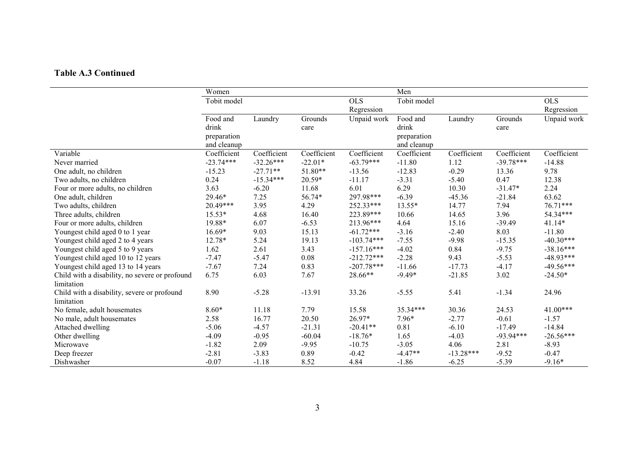#### **Table A.3 Continued**

|                                                | Women       |             |             |              | Men         |             |             |             |
|------------------------------------------------|-------------|-------------|-------------|--------------|-------------|-------------|-------------|-------------|
|                                                | Tobit model |             |             | <b>OLS</b>   | Tobit model |             |             | <b>OLS</b>  |
|                                                |             |             |             | Regression   |             |             |             | Regression  |
|                                                | Food and    | Laundry     | Grounds     | Unpaid work  | Food and    | Laundry     | Grounds     | Unpaid work |
|                                                | drink       |             | care        |              | drink       |             | care        |             |
|                                                | preparation |             |             |              | preparation |             |             |             |
|                                                | and cleanup |             |             |              | and cleanup |             |             |             |
| Variable                                       | Coefficient | Coefficient | Coefficient | Coefficient  | Coefficient | Coefficient | Coefficient | Coefficient |
| Never married                                  | $-23.74***$ | $-32.26***$ | $-22.01*$   | $-63.79***$  | $-11.80$    | 1.12        | $-39.78***$ | $-14.88$    |
| One adult, no children                         | $-15.23$    | $-27.71**$  | 51.80**     | $-13.56$     | $-12.83$    | $-0.29$     | 13.36       | 9.78        |
| Two adults, no children                        | 0.24        | $-15.34***$ | $20.59*$    | $-11.17$     | $-3.31$     | $-5.40$     | 0.47        | 12.38       |
| Four or more adults, no children               | 3.63        | $-6.20$     | 11.68       | 6.01         | 6.29        | 10.30       | $-31.47*$   | 2.24        |
| One adult, children                            | 29.46*      | 7.25        | 56.74*      | 297.98***    | $-6.39$     | $-45.36$    | $-21.84$    | 63.62       |
| Two adults, children                           | $20.49***$  | 3.95        | 4.29        | 252.33***    | 13.55*      | 14.77       | 7.94        | $76.71***$  |
| Three adults, children                         | 15.53*      | 4.68        | 16.40       | 223.89***    | 10.66       | 14.65       | 3.96        | 54.34***    |
| Four or more adults, children                  | 19.88*      | 6.07        | $-6.53$     | 213.96***    | 4.64        | 15.16       | $-39.49$    | $41.14*$    |
| Youngest child aged 0 to 1 year                | 16.69*      | 9.03        | 15.13       | $-61.72***$  | $-3.16$     | $-2.40$     | 8.03        | $-11.80$    |
| Youngest child aged 2 to 4 years               | 12.78*      | 5.24        | 19.13       | $-103.74***$ | $-7.55$     | $-9.98$     | $-15.35$    | $-40.30***$ |
| Youngest child aged 5 to 9 years               | 1.62        | 2.61        | 3.43        | $-157.16***$ | $-4.02$     | 0.84        | $-9.75$     | $-38.16***$ |
| Youngest child aged 10 to 12 years             | $-7.47$     | $-5.47$     | 0.08        | $-212.72***$ | $-2.28$     | 9.43        | $-5.53$     | $-48.93***$ |
| Youngest child aged 13 to 14 years             | $-7.67$     | 7.24        | 0.83        | $-207.78***$ | $-11.66$    | $-17.73$    | $-4.17$     | $-49.56***$ |
| Child with a disability, no severe or profound | 6.75        | 6.03        | 7.67        | 28.66**      | $-9.49*$    | $-21.85$    | 3.02        | $-24.50*$   |
| limitation                                     |             |             |             |              |             |             |             |             |
| Child with a disability, severe or profound    | 8.90        | $-5.28$     | $-13.91$    | 33.26        | $-5.55$     | 5.41        | $-1.34$     | 24.96       |
| limitation                                     |             |             |             |              |             |             |             |             |
| No female, adult housemates                    | $8.60*$     | 11.18       | 7.79        | 15.58        | 35.34***    | 30.36       | 24.53       | $41.00***$  |
| No male, adult housemates                      | 2.58        | 16.77       | 20.50       | 26.97*       | 7.96*       | $-2.77$     | $-0.61$     | $-1.57$     |
| Attached dwelling                              | $-5.06$     | $-4.57$     | $-21.31$    | $-20.41**$   | 0.81        | $-6.10$     | $-17.49$    | $-14.84$    |
| Other dwelling                                 | $-4.09$     | $-0.95$     | $-60.04$    | $-18.76*$    | 1.65        | $-4.03$     | $-93.94***$ | $-26.56***$ |
| Microwave                                      | $-1.82$     | 2.09        | $-9.95$     | $-10.75$     | $-3.05$     | 4.06        | 2.81        | $-8.93$     |
| Deep freezer                                   | $-2.81$     | $-3.83$     | 0.89        | $-0.42$      | $-4.47**$   | $-13.28***$ | $-9.52$     | $-0.47$     |
| Dishwasher                                     | $-0.07$     | $-1.18$     | 8.52        | 4.84         | $-1.86$     | $-6.25$     | $-5.39$     | $-9.16*$    |